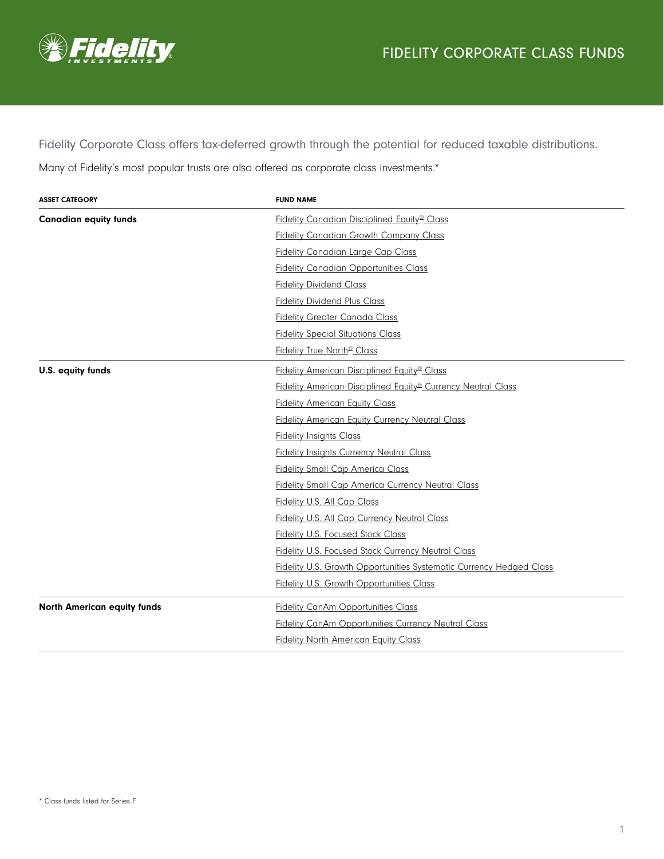

Fidelity Corporate Class offers tax-deferred growth through the potential for reduced taxable distributions.

Many of Fidelity's most popular trusts are also offered as corporate class investments.\*

| <b>ASSET CATEGORY</b>              | <b>FUND NAME</b>                                                         |
|------------------------------------|--------------------------------------------------------------------------|
| <b>Canadian equity funds</b>       | Fidelity Canadian Disciplined Equity <sup>®</sup> Class                  |
|                                    | <b>Fidelity Canadian Growth Company Class</b>                            |
|                                    | <b>Fidelity Canadian Large Cap Class</b>                                 |
|                                    | <b>Fidelity Canadian Opportunities Class</b>                             |
|                                    | <b>Fidelity Dividend Class</b>                                           |
|                                    | <b>Fidelity Dividend Plus Class</b>                                      |
|                                    | <b>Fidelity Greater Canada Class</b>                                     |
|                                    | <b>Fidelity Special Situations Class</b>                                 |
|                                    | Fidelity True North <sup>®</sup> Class                                   |
| U.S. equity funds                  | Fidelity American Disciplined Equity <sup>®</sup> Class                  |
|                                    | Fidelity American Disciplined Equity <sup>®</sup> Currency Neutral Class |
|                                    | <b>Fidelity American Equity Class</b>                                    |
|                                    | <b>Fidelity American Equity Currency Neutral Class</b>                   |
|                                    | <b>Fidelity Insights Class</b>                                           |
|                                    | <b>Fidelity Insights Currency Neutral Class</b>                          |
|                                    | <b>Fidelity Small Cap America Class</b>                                  |
|                                    | <b>Fidelity Small Cap America Currency Neutral Class</b>                 |
|                                    | Fidelity U.S. All Cap Class                                              |
|                                    | <b>Fidelity U.S. All Cap Currency Neutral Class</b>                      |
|                                    | <b>Fidelity U.S. Focused Stock Class</b>                                 |
|                                    | Fidelity U.S. Focused Stock Currency Neutral Class                       |
|                                    | Fidelity U.S. Growth Opportunities Systematic Currency Hedged Class      |
|                                    | <b>Fidelity U.S. Growth Opportunities Class</b>                          |
| <b>North American equity funds</b> | <b>Fidelity CanAm Opportunities Class</b>                                |
|                                    | <b>Fidelity CanAm Opportunities Currency Neutral Class</b>               |
|                                    | <b>Fidelity North American Equity Class</b>                              |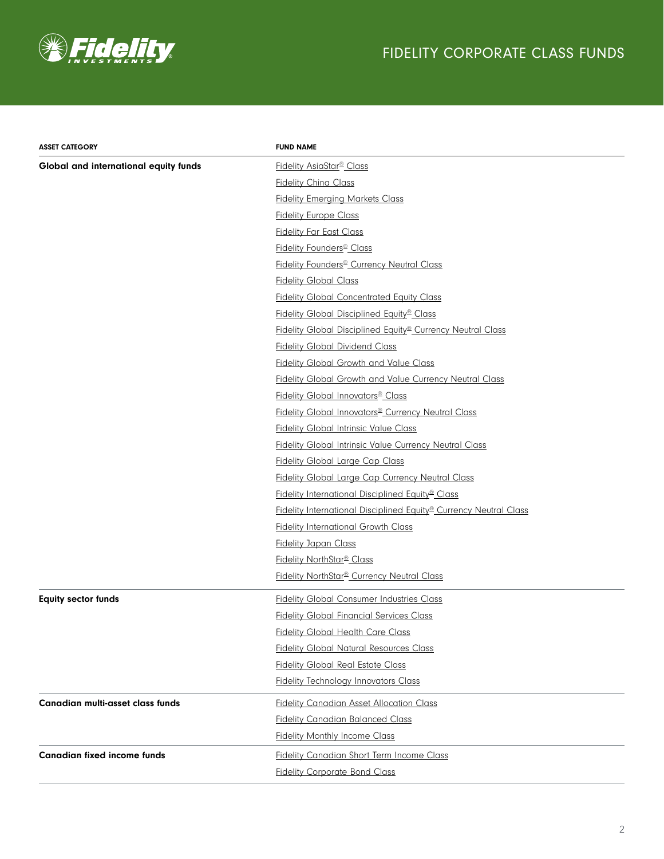

## FIDELITY CORPORATE CLASS FUNDS

| <b>ASSET CATEGORY</b>                 | <b>FUND NAME</b>                                                              |
|---------------------------------------|-------------------------------------------------------------------------------|
| Global and international equity funds | Fidelity AsiaStar <sup>®</sup> Class                                          |
|                                       | <b>Fidelity China Class</b>                                                   |
|                                       | <b>Fidelity Emerging Markets Class</b>                                        |
|                                       | <b>Fidelity Europe Class</b>                                                  |
|                                       | <b>Fidelity Far East Class</b>                                                |
|                                       | Fidelity Founders <sup>®</sup> Class                                          |
|                                       | Fidelity Founders <sup>®</sup> Currency Neutral Class                         |
|                                       | <b>Fidelity Global Class</b>                                                  |
|                                       | <b>Fidelity Global Concentrated Equity Class</b>                              |
|                                       | Fidelity Global Disciplined Equity <sup>®</sup> Class                         |
|                                       | Fidelity Global Disciplined Equity <sup>®</sup> Currency Neutral Class        |
|                                       | <b>Fidelity Global Dividend Class</b>                                         |
|                                       | <b>Fidelity Global Growth and Value Class</b>                                 |
|                                       | <b>Fidelity Global Growth and Value Currency Neutral Class</b>                |
|                                       | <b>Fidelity Global Innovators</b> ® Class                                     |
|                                       | Fidelity Global Innovators <sup>®</sup> Currency Neutral Class                |
|                                       | <b>Fidelity Global Intrinsic Value Class</b>                                  |
|                                       | <b>Fidelity Global Intrinsic Value Currency Neutral Class</b>                 |
|                                       | <b>Fidelity Global Large Cap Class</b>                                        |
|                                       | <b>Fidelity Global Large Cap Currency Neutral Class</b>                       |
|                                       | Fidelity International Disciplined Equity <sup>®</sup> Class                  |
|                                       | Fidelity International Disciplined Equity <sup>®</sup> Currency Neutral Class |
|                                       | <b>Fidelity International Growth Class</b>                                    |
|                                       | <b>Fidelity Japan Class</b>                                                   |
|                                       | Fidelity NorthStar <sup>®</sup> Class                                         |
|                                       | Fidelity NorthStar <sup>®</sup> Currency Neutral Class                        |
| <b>Equity sector funds</b>            | <b>Fidelity Global Consumer Industries Class</b>                              |
|                                       | <b>Fidelity Global Financial Services Class</b>                               |
|                                       | <b>Fidelity Global Health Care Class</b>                                      |
|                                       | <b>Fidelity Global Natural Resources Class</b>                                |
|                                       | <b>Fidelity Global Real Estate Class</b>                                      |
|                                       | <b>Fidelity Technology Innovators Class</b>                                   |
| Canadian multi-asset class funds      | <b>Fidelity Canadian Asset Allocation Class</b>                               |
|                                       | <b>Fidelity Canadian Balanced Class</b>                                       |
|                                       | <b>Fidelity Monthly Income Class</b>                                          |
| <b>Canadian fixed income funds</b>    | <b>Fidelity Canadian Short Term Income Class</b>                              |
|                                       | <b>Fidelity Corporate Bond Class</b>                                          |
|                                       |                                                                               |